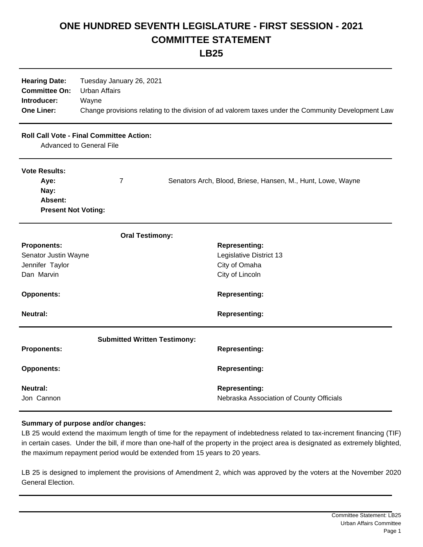## **ONE HUNDRED SEVENTH LEGISLATURE - FIRST SESSION - 2021 COMMITTEE STATEMENT**

**LB25**

| <b>Hearing Date:</b><br><b>Committee On:</b><br>Introducer:<br><b>One Liner:</b>   | Tuesday January 26, 2021<br><b>Urban Affairs</b><br>Wayne | Change provisions relating to the division of ad valorem taxes under the Community Development Law |
|------------------------------------------------------------------------------------|-----------------------------------------------------------|----------------------------------------------------------------------------------------------------|
| <b>Roll Call Vote - Final Committee Action:</b><br><b>Advanced to General File</b> |                                                           |                                                                                                    |
| <b>Vote Results:</b><br>Aye:<br>Nay:<br>Absent:<br><b>Present Not Voting:</b>      | $\overline{7}$                                            | Senators Arch, Blood, Briese, Hansen, M., Hunt, Lowe, Wayne                                        |
|                                                                                    | <b>Oral Testimony:</b>                                    |                                                                                                    |
| <b>Proponents:</b>                                                                 |                                                           | <b>Representing:</b>                                                                               |
| Senator Justin Wayne                                                               |                                                           | Legislative District 13                                                                            |
| Jennifer Taylor<br>Dan Marvin                                                      |                                                           | City of Omaha<br>City of Lincoln                                                                   |
| <b>Opponents:</b>                                                                  |                                                           | <b>Representing:</b>                                                                               |
| <b>Neutral:</b>                                                                    |                                                           | <b>Representing:</b>                                                                               |
|                                                                                    | <b>Submitted Written Testimony:</b>                       |                                                                                                    |
| <b>Proponents:</b>                                                                 |                                                           | <b>Representing:</b>                                                                               |
| <b>Opponents:</b>                                                                  |                                                           | <b>Representing:</b>                                                                               |
| <b>Neutral:</b><br>Jon Cannon                                                      |                                                           | <b>Representing:</b><br>Nebraska Association of County Officials                                   |

## **Summary of purpose and/or changes:**

LB 25 would extend the maximum length of time for the repayment of indebtedness related to tax-increment financing (TIF) in certain cases. Under the bill, if more than one-half of the property in the project area is designated as extremely blighted, the maximum repayment period would be extended from 15 years to 20 years.

LB 25 is designed to implement the provisions of Amendment 2, which was approved by the voters at the November 2020 General Election.